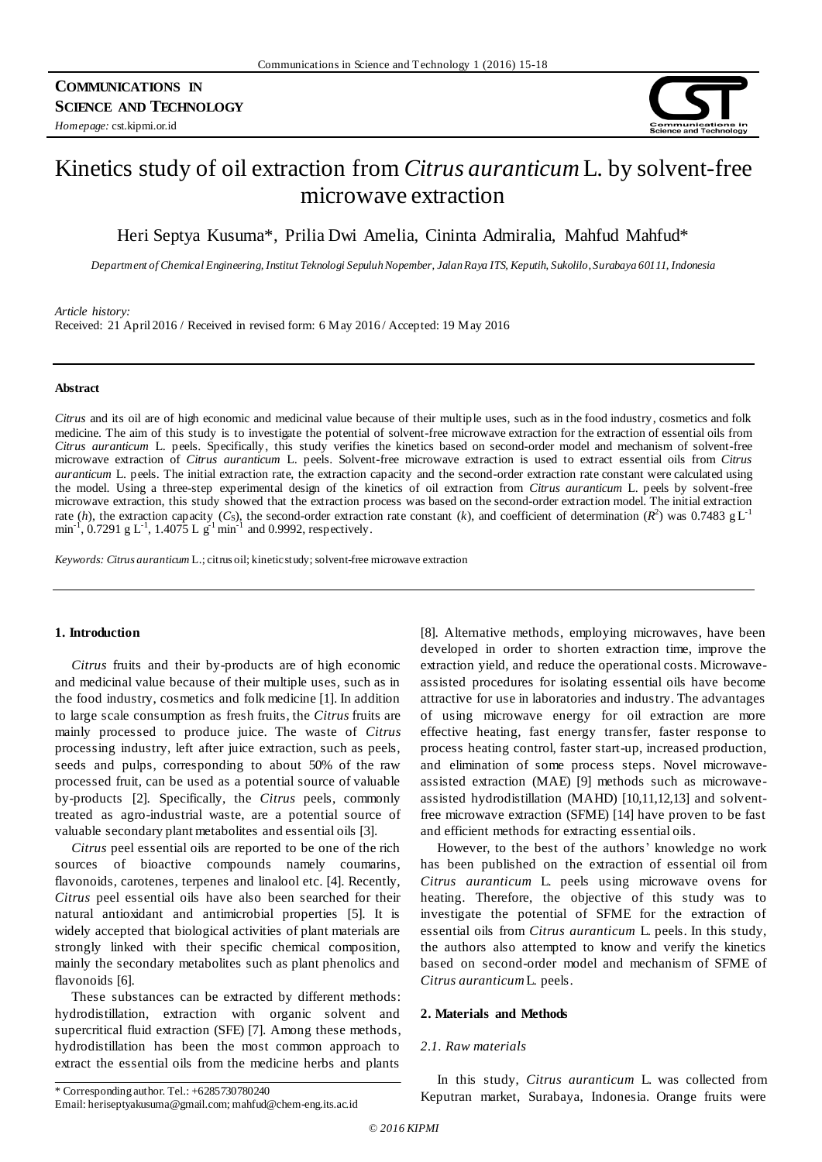

# Kinetics study of oil extraction from *Citrus auranticum* L. by solvent-free microwave extraction

Heri Septya Kusuma\*, Prilia Dwi Amelia, Cininta Admiralia, Mahfud Mahfud\*

*Department of Chemical Engineering, Institut Teknologi Sepuluh Nopember, Jalan Raya ITS, Keputih, Sukolilo, Surabaya 60111, Indonesia*

#### *Article history:*

Received: 21 April 2016 / Received in revised form: 6 May 2016 / Accepted: 19 May 2016

# **Abstract**

*Citrus* and its oil are of high economic and medicinal value because of their multiple uses, such as in the food industry, cosmetics and folk medicine. The aim of this study is to investigate the potential of solvent-free microwave extraction for the extraction of essential oils from *Citrus auranticum* L. peels. Specifically, this study verifies the kinetics based on second-order model and mechanism of solvent-free microwave extraction of *Citrus auranticum* L. peels. Solvent-free microwave extraction is used to extract essential oils from *Citrus auranticum* L. peels. The initial extraction rate, the extraction capacity and the second-order extraction rate constant were calculated using the model. Using a three-step experimental design of the kinetics of oil extraction from *Citrus auranticum* L. peels by solvent-free microwave extraction, this study showed that the extraction process was based on the second-order extraction model. The initial extraction rate (*h*), the extraction capacity (*C*<sub>S</sub>), the second-order extraction rate constant (*k*), and coefficient of determination (*R*<sup>2</sup>) was 0.7483 g L<sup>-1</sup> min<sup>-1</sup>, 0.7291 g L<sup>-1</sup>, 1.4075 L g<sup>-1</sup> min<sup>-1</sup> and 0.9992, respectively.

*Keywords: Citrus auranticum* L.; citrus oil; kinetic study; solvent-free microwave extraction

# **1. Introduction**

*Citrus* fruits and their by-products are of high economic and medicinal value because of their multiple uses, such as in the food industry, cosmetics and folk medicine [1]. In addition to large scale consumption as fresh fruits, the *Citrus* fruits are mainly processed to produce juice. The waste of *Citrus*  processing industry, left after juice extraction, such as peels, seeds and pulps, corresponding to about 50% of the raw processed fruit, can be used as a potential source of valuable by-products [2]. Specifically, the *Citrus* peels, commonly treated as agro-industrial waste, are a potential source of valuable secondary plant metabolites and essential oils [3].

*Citrus* peel essential oils are reported to be one of the rich sources of bioactive compounds namely coumarins, flavonoids, carotenes, terpenes and linalool etc. [4]. Recently, *Citrus* peel essential oils have also been searched for their natural antioxidant and antimicrobial properties [5]. It is widely accepted that biological activities of plant materials are strongly linked with their specific chemical composition, mainly the secondary metabolites such as plant phenolics and flavonoids [6].

These substances can be extracted by different methods: hydrodistillation, extraction with organic solvent and supercritical fluid extraction (SFE) [7]. Among these methods, hydrodistillation has been the most common approach to extract the essential oils from the medicine herbs and plants

[8]. Alternative methods, employing microwaves, have been developed in order to shorten extraction time, improve the extraction yield, and reduce the operational costs. Microwaveassisted procedures for isolating essential oils have become attractive for use in laboratories and industry. The advantages of using microwave energy for oil extraction are more effective heating, fast energy transfer, faster response to process heating control, faster start-up, increased production, and elimination of some process steps. Novel microwaveassisted extraction (MAE) [9] methods such as microwaveassisted hydrodistillation (MAHD) [10,11,12,13] and solventfree microwave extraction (SFME) [14] have proven to be fast and efficient methods for extracting essential oils.

However, to the best of the authors' knowledge no work has been published on the extraction of essential oil from *Citrus auranticum* L. peels using microwave ovens for heating. Therefore, the objective of this study was to investigate the potential of SFME for the extraction of essential oils from *Citrus auranticum* L. peels. In this study, the authors also attempted to know and verify the kinetics based on second-order model and mechanism of SFME of *Citrus auranticum* L. peels.

#### **2. Materials and Methods**

# *2.1. Raw materials*

In this study, *Citrus auranticum* L. was collected from \* Corresponding author. Tel.: +6285730780240<br> **Keputran market, Surabaya, Indonesia. Orange fruits were** 

Email: heriseptyakusuma@gmail.com; mahfud@chem-eng.its.ac.id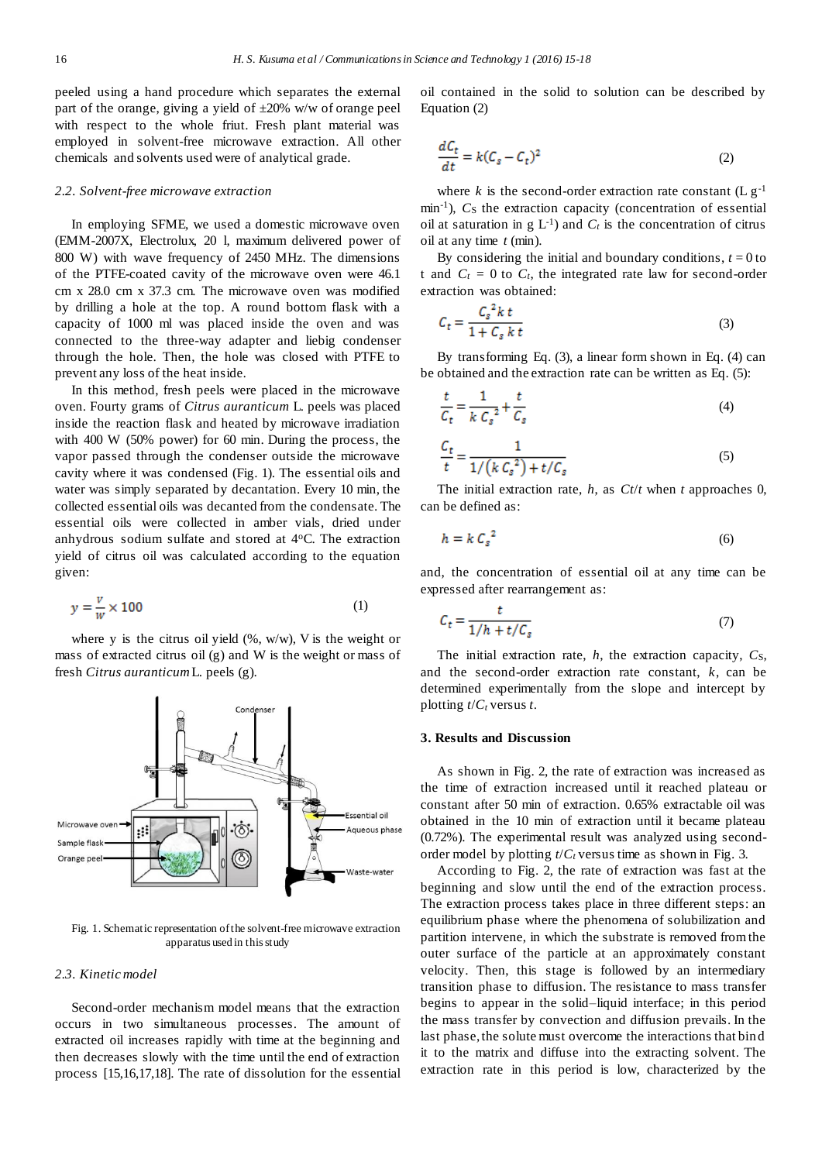peeled using a hand procedure which separates the external part of the orange, giving a yield of  $\pm 20\%$  w/w of orange peel with respect to the whole friut. Fresh plant material was employed in solvent-free microwave extraction. All other chemicals and solvents used were of analytical grade.

#### *2.2. Solvent-free microwave extraction*

In employing SFME, we used a domestic microwave oven (EMM-2007X, Electrolux, 20 l, maximum delivered power of 800 W) with wave frequency of 2450 MHz. The dimensions of the PTFE-coated cavity of the microwave oven were 46.1 cm x 28.0 cm x 37.3 cm. The microwave oven was modified by drilling a hole at the top. A round bottom flask with a capacity of 1000 ml was placed inside the oven and was connected to the three-way adapter and liebig condenser through the hole. Then, the hole was closed with PTFE to prevent any loss of the heat inside.

In this method, fresh peels were placed in the microwave oven. Fourty grams of *Citrus auranticum* L. peels was placed inside the reaction flask and heated by microwave irradiation with 400 W (50% power) for 60 min. During the process, the vapor passed through the condenser outside the microwave cavity where it was condensed (Fig. 1). The essential oils and water was simply separated by decantation. Every 10 min, the collected essential oils was decanted from the condensate. The essential oils were collected in amber vials, dried under anhydrous sodium sulfate and stored at 4<sup>o</sup>C. The extraction yield of citrus oil was calculated according to the equation given:

$$
y = \frac{v}{w} \times 100\tag{1}
$$

where y is the citrus oil yield  $(\% , w/w)$ , V is the weight or mass of extracted citrus oil (g) and W is the weight or mass of fresh *Citrus auranticum* L. peels (g).



Fig. 1. Schematic representation of the solvent-free microwave extraction apparatus used in this study

## *2.3. Kinetic model*

Second-order mechanism model means that the extraction occurs in two simultaneous processes. The amount of extracted oil increases rapidly with time at the beginning and then decreases slowly with the time until the end of extraction process [15,16,17,18]. The rate of dissolution for the essential oil contained in the solid to solution can be described by Equation (2)

$$
\frac{dC_t}{dt} = k(C_s - C_t)^2
$$
\n(2)

where  $k$  is the second-order extraction rate constant  $(L g^{-1})$ min<sup>-1</sup>), C<sub>S</sub> the extraction capacity (concentration of essential oil at saturation in  $g L^{-1}$ ) and  $C_t$  is the concentration of citrus oil at any time *t* (min).

By considering the initial and boundary conditions,  $t = 0$  to t and  $C_t = 0$  to  $C_t$ , the integrated rate law for second-order extraction was obtained:

$$
C_t = \frac{C_s^2 k t}{1 + C_s k t}
$$
\n(3)

By transforming Eq. (3), a linear form shown in Eq. (4) can be obtained and the extraction rate can be written as Eq. (5):

$$
\frac{t}{C_t} = \frac{1}{k C_s^2} + \frac{t}{C_s} \tag{4}
$$

$$
\frac{C_t}{t} = \frac{1}{1/(k C_s^2) + t/C_s}
$$
\n(5)

The initial extraction rate, *h*, as *Ct*/*t* when *t* approaches 0, can be defined as:

$$
h = k \, C_s^2 \tag{6}
$$

and, the concentration of essential oil at any time can be expressed after rearrangement as:

$$
C_t = \frac{t}{1/h + t/C_s} \tag{7}
$$

The initial extraction rate, *h*, the extraction capacity, *Cs*, and the second-order extraction rate constant, *k*, can be determined experimentally from the slope and intercept by plotting *t*/*C<sup>t</sup>* versus *t*.

## **3. Results and Discussion**

As shown in Fig. 2, the rate of extraction was increased as the time of extraction increased until it reached plateau or constant after 50 min of extraction. 0.65% extractable oil was obtained in the 10 min of extraction until it became plateau (0.72%). The experimental result was analyzed using secondorder model by plotting *t*/*C<sup>t</sup>* versus time as shown in Fig. 3.

According to Fig. 2, the rate of extraction was fast at the beginning and slow until the end of the extraction process. The extraction process takes place in three different steps: an equilibrium phase where the phenomena of solubilization and partition intervene, in which the substrate is removed from the outer surface of the particle at an approximately constant velocity. Then, this stage is followed by an intermediary transition phase to diffusion. The resistance to mass transfer begins to appear in the solid–liquid interface; in this period the mass transfer by convection and diffusion prevails. In the last phase, the solute must overcome the interactions that bind it to the matrix and diffuse into the extracting solvent. The extraction rate in this period is low, characterized by the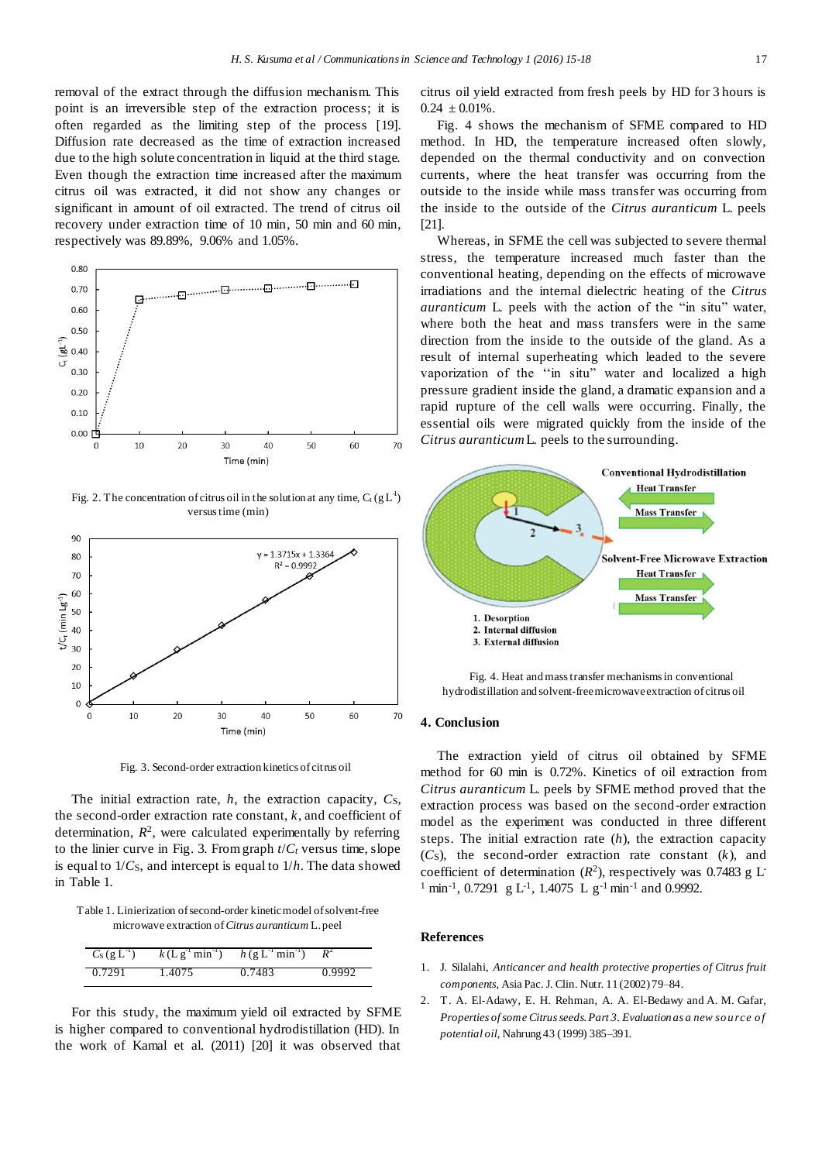removal of the extract through the diffusion mechanism. This point is an irreversible step of the extraction process; it is often regarded as the limiting step of the process [19]. Diffusion rate decreased as the time of extraction increased due to the high solute concentration in liquid at the third stage. Even though the extraction time increased after the maximum citrus oil was extracted, it did not show any changes or significant in amount of oil extracted. The trend of citrus oil recovery under extraction time of 10 min, 50 min and 60 min, respectively was 89.89%, 9.06% and 1.05%.



Fig. 2. The concentration of citrus oil in the solution at any time,  $C_t (gL^1)$ versus time (min)



Fig. 3. Second-order extraction kinetics of citrus oil

The initial extraction rate, *h*, the extraction capacity, *C*s, the second-order extraction rate constant, *k*, and coefficient of determination,  $R^2$ , were calculated experimentally by referring to the linier curve in Fig. 3. From graph  $t/C_t$  versus time, slope is equal to 1/*C*S, and intercept is equal to 1/*h*. The data showed in Table 1.

Table 1. Linierization of second-order kinetic model of solvent-free microwave extraction of *Citrus auranticum* L. peel

| $C_S (g L^{-1})$ |        | $k(Lg^{-1}min^{-1})$ $h(g L^{-1}min^{-1})$ $R^2$ |        |
|------------------|--------|--------------------------------------------------|--------|
| 0.7291           | 1.4075 | 0.7483                                           | 0.9992 |

For this study, the maximum yield oil extracted by SFME is higher compared to conventional hydrodistillation (HD). In the work of Kamal et al. (2011) [20] it was observed that citrus oil yield extracted from fresh peels by HD for 3 hours is  $0.24 \pm 0.01\%$ .

Fig. 4 shows the mechanism of SFME compared to HD method. In HD, the temperature increased often slowly, depended on the thermal conductivity and on convection currents, where the heat transfer was occurring from the outside to the inside while mass transfer was occurring from the inside to the outside of the *Citrus auranticum* L. peels [21].

Whereas, in SFME the cell was subjected to severe thermal stress, the temperature increased much faster than the conventional heating, depending on the effects of microwave irradiations and the internal dielectric heating of the *Citrus auranticum* L. peels with the action of the "in situ" water, where both the heat and mass transfers were in the same direction from the inside to the outside of the gland. As a result of internal superheating which leaded to the severe vaporization of the ''in situ" water and localized a high pressure gradient inside the gland, a dramatic expansion and a rapid rupture of the cell walls were occurring. Finally, the essential oils were migrated quickly from the inside of the *Citrus auranticum* L. peels to the surrounding.



Fig. 4. Heat and mass transfer mechanisms in conventional hydrodistillation and solvent-free microwave extraction of citrus oil

## **4. Conclusion**

The extraction yield of citrus oil obtained by SFME method for 60 min is 0.72%. Kinetics of oil extraction from *Citrus auranticum* L. peels by SFME method proved that the extraction process was based on the second-order extraction model as the experiment was conducted in three different steps. The initial extraction rate (*h*), the extraction capacity (*C*S), the second-order extraction rate constant (*k*), and coefficient of determination  $(R^2)$ , respectively was 0.7483 g L<sup>-</sup> <sup>1</sup> min<sup>-1</sup>, 0.7291 g L<sup>-1</sup>, 1.4075 L g<sup>-1</sup> min<sup>-1</sup> and 0.9992.

## **References**

- 1. J. Silalahi, *Anticancer and health protective properties of Citrus fruit components*, Asia Pac. J. Clin. Nutr. 11 (2002) 79–84.
- 2. T. A. El-Adawy, E. H. Rehman, A. A. El-Bedawy and A. M. Gafar, Properties of some Citrus seeds. Part 3. Evaluation as a new source of *potential oil*, Nahrung 43 (1999) 385–391.